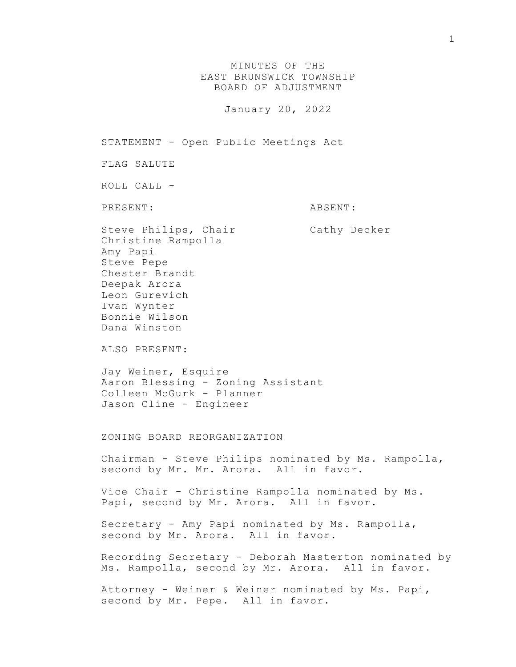MINUTES OF THE EAST BRUNSWICK TOWNSHIP BOARD OF ADJUSTMENT

January 20, 2022

STATEMENT - Open Public Meetings Act

FLAG SALUTE

ROLL CALL -

PRESENT: ABSENT:

Steve Philips, Chair Cathy Decker Christine Rampolla Amy Papi Steve Pepe Chester Brandt Deepak Arora Leon Gurevich Ivan Wynter Bonnie Wilson Dana Winston

ALSO PRESENT:

Jay Weiner, Esquire Aaron Blessing - Zoning Assistant Colleen McGurk - Planner Jason Cline - Engineer

ZONING BOARD REORGANIZATION

Chairman - Steve Philips nominated by Ms. Rampolla, second by Mr. Mr. Arora. All in favor.

Vice Chair - Christine Rampolla nominated by Ms. Papi, second by Mr. Arora. All in favor.

Secretary - Amy Papi nominated by Ms. Rampolla, second by Mr. Arora. All in favor.

Recording Secretary - Deborah Masterton nominated by Ms. Rampolla, second by Mr. Arora. All in favor.

Attorney - Weiner & Weiner nominated by Ms. Papi, second by Mr. Pepe. All in favor.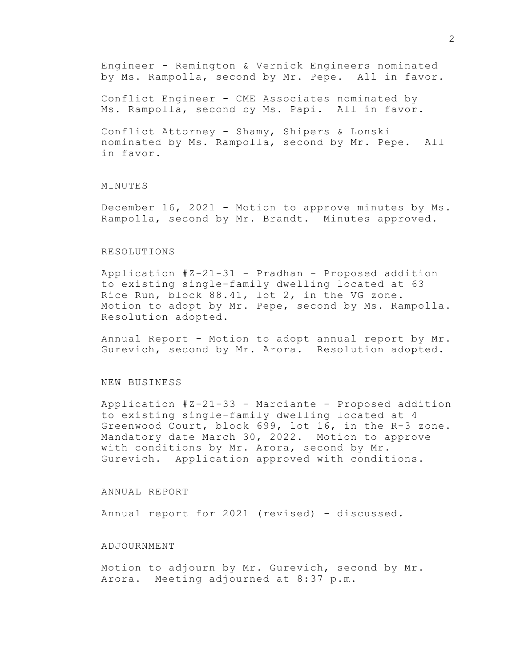Engineer - Remington & Vernick Engineers nominated by Ms. Rampolla, second by Mr. Pepe. All in favor.

Conflict Engineer - CME Associates nominated by Ms. Rampolla, second by Ms. Papi. All in favor.

Conflict Attorney - Shamy, Shipers & Lonski nominated by Ms. Rampolla, second by Mr. Pepe. All in favor.

# MINUTES

December 16, 2021 - Motion to approve minutes by Ms. Rampolla, second by Mr. Brandt. Minutes approved.

# RESOLUTIONS

Application #Z-21-31 - Pradhan - Proposed addition to existing single-family dwelling located at 63 Rice Run, block 88.41, lot 2, in the VG zone. Motion to adopt by Mr. Pepe, second by Ms. Rampolla. Resolution adopted.

Annual Report - Motion to adopt annual report by Mr. Gurevich, second by Mr. Arora. Resolution adopted.

#### NEW BUSINESS

Application #Z-21-33 - Marciante - Proposed addition to existing single-family dwelling located at 4 Greenwood Court, block 699, lot 16, in the R-3 zone. Mandatory date March 30, 2022. Motion to approve with conditions by Mr. Arora, second by Mr. Gurevich. Application approved with conditions.

# ANNUAL REPORT

Annual report for 2021 (revised) - discussed.

### ADJOURNMENT

Motion to adjourn by Mr. Gurevich, second by Mr. Arora. Meeting adjourned at 8:37 p.m.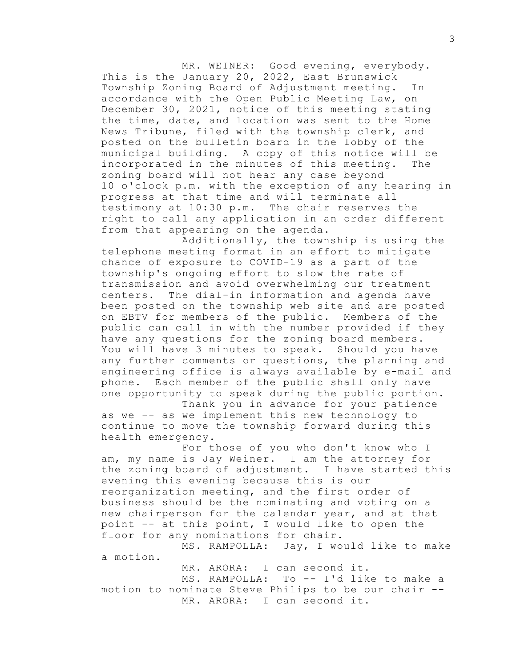MR. WEINER: Good evening, everybody. This is the January 20, 2022, East Brunswick Township Zoning Board of Adjustment meeting. In accordance with the Open Public Meeting Law, on December 30, 2021, notice of this meeting stating the time, date, and location was sent to the Home News Tribune, filed with the township clerk, and posted on the bulletin board in the lobby of the municipal building. A copy of this notice will be incorporated in the minutes of this meeting. The zoning board will not hear any case beyond 10 o'clock p.m. with the exception of any hearing in progress at that time and will terminate all testimony at 10:30 p.m. The chair reserves the right to call any application in an order different from that appearing on the agenda.

Additionally, the township is using the telephone meeting format in an effort to mitigate chance of exposure to COVID-19 as a part of the township's ongoing effort to slow the rate of transmission and avoid overwhelming our treatment centers. The dial-in information and agenda have been posted on the township web site and are posted on EBTV for members of the public. Members of the public can call in with the number provided if they have any questions for the zoning board members. You will have 3 minutes to speak. Should you have any further comments or questions, the planning and engineering office is always available by e-mail and phone. Each member of the public shall only have one opportunity to speak during the public portion.

Thank you in advance for your patience as we -- as we implement this new technology to continue to move the township forward during this health emergency.

For those of you who don't know who I am, my name is Jay Weiner. I am the attorney for the zoning board of adjustment. I have started this evening this evening because this is our reorganization meeting, and the first order of business should be the nominating and voting on a new chairperson for the calendar year, and at that point -- at this point, I would like to open the floor for any nominations for chair.

MS. RAMPOLLA: Jay, I would like to make a motion.

MR. ARORA: I can second it. MS. RAMPOLLA: To -- I'd like to make a motion to nominate Steve Philips to be our chair -- MR. ARORA: I can second it.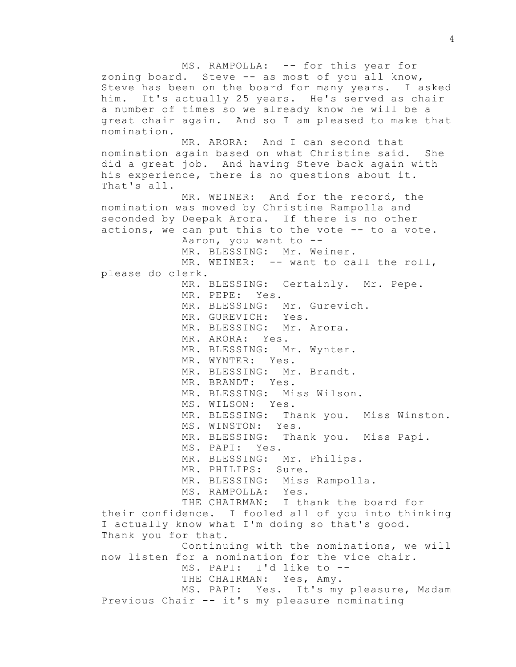MS. RAMPOLLA: -- for this year for zoning board. Steve -- as most of you all know, Steve has been on the board for many years. I asked him. It's actually 25 years. He's served as chair a number of times so we already know he will be a great chair again. And so I am pleased to make that nomination. MR. ARORA: And I can second that nomination again based on what Christine said. She did a great job. And having Steve back again with his experience, there is no questions about it. That's all. MR. WEINER: And for the record, the nomination was moved by Christine Rampolla and seconded by Deepak Arora. If there is no other actions, we can put this to the vote -- to a vote. Aaron, you want to -- MR. BLESSING: Mr. Weiner. MR. WEINER: -- want to call the roll, please do clerk. MR. BLESSING: Certainly. Mr. Pepe. MR. PEPE: Yes. MR. BLESSING: Mr. Gurevich. MR. GUREVICH: Yes. MR. BLESSING: Mr. Arora. MR. ARORA: Yes. MR. BLESSING: Mr. Wynter. MR. WYNTER: Yes. MR. BLESSING: Mr. Brandt. MR. BRANDT: Yes. MR. BLESSING: Miss Wilson. MS. WILSON: Yes. MR. BLESSING: Thank you. Miss Winston. MS. WINSTON: Yes. MR. BLESSING: Thank you. Miss Papi. MS. PAPI: Yes. MR. BLESSING: Mr. Philips. MR. PHILIPS: Sure. MR. BLESSING: Miss Rampolla. MS. RAMPOLLA: Yes. THE CHAIRMAN: I thank the board for their confidence. I fooled all of you into thinking I actually know what I'm doing so that's good. Thank you for that. Continuing with the nominations, we will now listen for a nomination for the vice chair. MS. PAPI: I'd like to -- THE CHAIRMAN: Yes, Amy. MS. PAPI: Yes. It's my pleasure, Madam Previous Chair -- it's my pleasure nominating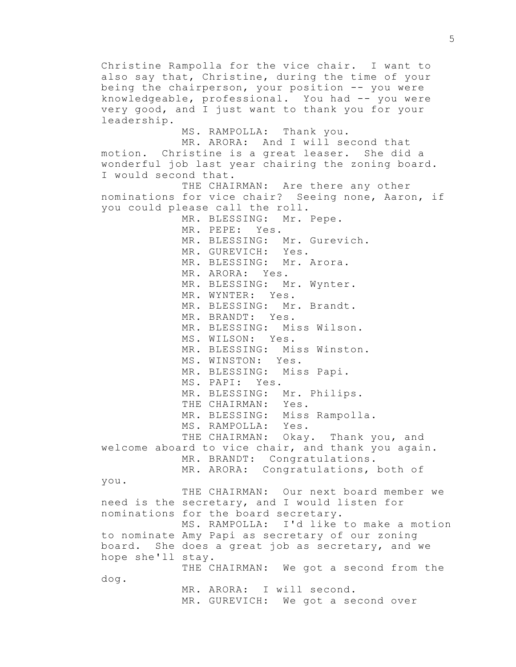Christine Rampolla for the vice chair. I want to also say that, Christine, during the time of your being the chairperson, your position -- you were knowledgeable, professional. You had -- you were very good, and I just want to thank you for your leadership. MS. RAMPOLLA: Thank you. MR. ARORA: And I will second that motion. Christine is a great leaser. She did a wonderful job last year chairing the zoning board. I would second that. THE CHAIRMAN: Are there any other nominations for vice chair? Seeing none, Aaron, if you could please call the roll. MR. BLESSING: Mr. Pepe. MR. PEPE: Yes. MR. BLESSING: Mr. Gurevich. MR. GUREVICH: Yes. MR. BLESSING: Mr. Arora. MR. ARORA: Yes. MR. BLESSING: Mr. Wynter. MR. WYNTER: Yes. MR. BLESSING: Mr. Brandt. MR. BRANDT: Yes. MR. BLESSING: Miss Wilson. MS. WILSON: Yes. MR. BLESSING: Miss Winston. MS. WINSTON: Yes. MR. BLESSING: Miss Papi. MS. PAPI: Yes. MR. BLESSING: Mr. Philips. THE CHAIRMAN: Yes. MR. BLESSING: Miss Rampolla. MS. RAMPOLLA: Yes. THE CHAIRMAN: Okay. Thank you, and welcome aboard to vice chair, and thank you again. MR. BRANDT: Congratulations. MR. ARORA: Congratulations, both of you. THE CHAIRMAN: Our next board member we need is the secretary, and I would listen for nominations for the board secretary. MS. RAMPOLLA: I'd like to make a motion to nominate Amy Papi as secretary of our zoning board. She does a great job as secretary, and we hope she'll stay. THE CHAIRMAN: We got a second from the dog. MR. ARORA: I will second. MR. GUREVICH: We got a second over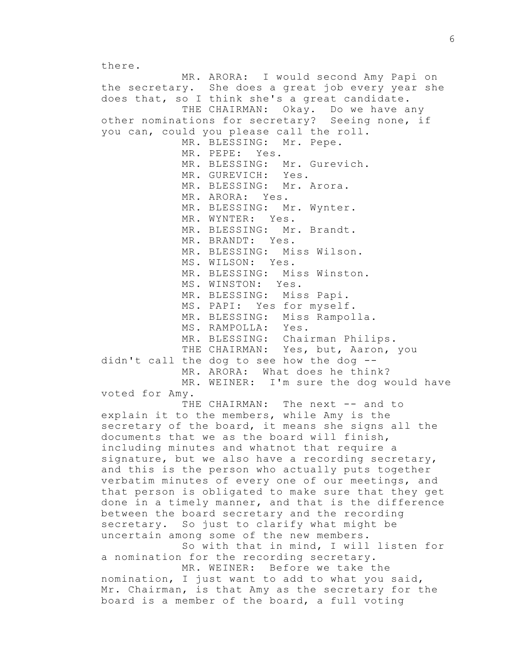there. MR. ARORA: I would second Amy Papi on the secretary. She does a great job every year she does that, so I think she's a great candidate. THE CHAIRMAN: Okay. Do we have any other nominations for secretary? Seeing none, if you can, could you please call the roll. MR. BLESSING: Mr. Pepe. MR. PEPE: Yes. MR. BLESSING: Mr. Gurevich. MR. GUREVICH: Yes. MR. BLESSING: Mr. Arora. MR. ARORA: Yes. MR. BLESSING: Mr. Wynter. MR. WYNTER: Yes. MR. BLESSING: Mr. Brandt. MR. BRANDT: Yes. MR. BLESSING: Miss Wilson. MS. WILSON: Yes. MR. BLESSING: Miss Winston. MS. WINSTON: Yes. MR. BLESSING: Miss Papi. MS. PAPI: Yes for myself. MR. BLESSING: Miss Rampolla. MS. RAMPOLLA: Yes. MR. BLESSING: Chairman Philips. THE CHAIRMAN: Yes, but, Aaron, you didn't call the dog to see how the dog -- MR. ARORA: What does he think? MR. WEINER: I'm sure the dog would have voted for Amy.

THE CHAIRMAN: The next -- and to explain it to the members, while Amy is the secretary of the board, it means she signs all the documents that we as the board will finish, including minutes and whatnot that require a signature, but we also have a recording secretary, and this is the person who actually puts together verbatim minutes of every one of our meetings, and that person is obligated to make sure that they get done in a timely manner, and that is the difference between the board secretary and the recording secretary. So just to clarify what might be uncertain among some of the new members.

So with that in mind, I will listen for a nomination for the recording secretary.

MR. WEINER: Before we take the nomination, I just want to add to what you said, Mr. Chairman, is that Amy as the secretary for the board is a member of the board, a full voting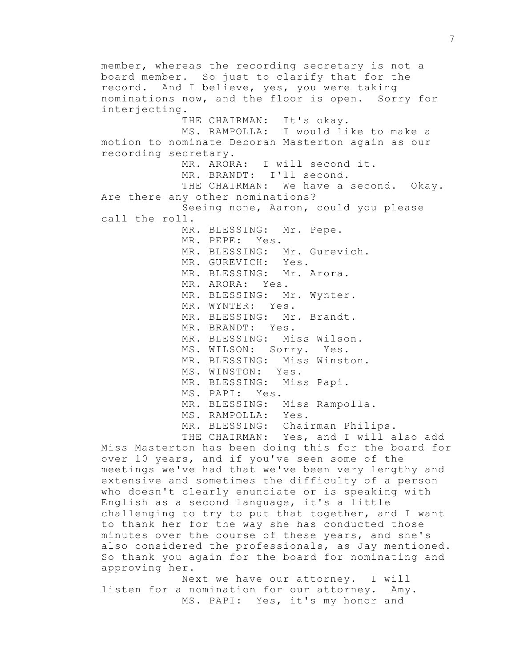member, whereas the recording secretary is not a board member. So just to clarify that for the record. And I believe, yes, you were taking nominations now, and the floor is open. Sorry for interjecting. THE CHAIRMAN: It's okay. MS. RAMPOLLA: I would like to make a motion to nominate Deborah Masterton again as our recording secretary. MR. ARORA: I will second it. MR. BRANDT: I'll second. THE CHAIRMAN: We have a second. Okay. Are there any other nominations? Seeing none, Aaron, could you please call the roll. MR. BLESSING: Mr. Pepe. MR. PEPE: Yes. MR. BLESSING: Mr. Gurevich. MR. GUREVICH: Yes. MR. BLESSING: Mr. Arora. MR. ARORA: Yes. MR. BLESSING: Mr. Wynter. MR. WYNTER: Yes. MR. BLESSING: Mr. Brandt. MR. BRANDT: Yes. MR. BLESSING: Miss Wilson. MS. WILSON: Sorry. Yes. MR. BLESSING: Miss Winston. MS. WINSTON: Yes. MR. BLESSING: Miss Papi. MS. PAPI: Yes. MR. BLESSING: Miss Rampolla. MS. RAMPOLLA: Yes. MR. BLESSING: Chairman Philips. THE CHAIRMAN: Yes, and I will also add

Miss Masterton has been doing this for the board for over 10 years, and if you've seen some of the meetings we've had that we've been very lengthy and extensive and sometimes the difficulty of a person who doesn't clearly enunciate or is speaking with English as a second language, it's a little challenging to try to put that together, and I want to thank her for the way she has conducted those minutes over the course of these years, and she's also considered the professionals, as Jay mentioned. So thank you again for the board for nominating and approving her.

Next we have our attorney. I will listen for a nomination for our attorney. Amy. MS. PAPI: Yes, it's my honor and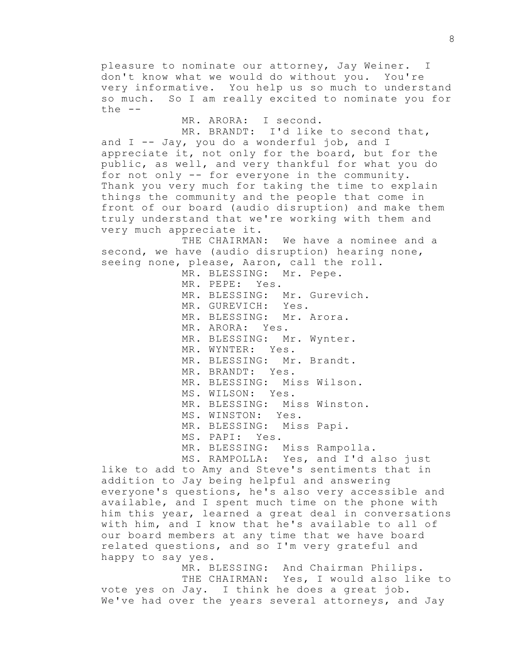pleasure to nominate our attorney, Jay Weiner. I don't know what we would do without you. You're very informative. You help us so much to understand so much. So I am really excited to nominate you for  $the --$ 

MR. ARORA: I second.

MR. BRANDT: I'd like to second that, and  $I$  -- Jay, you do a wonderful job, and  $I$ appreciate it, not only for the board, but for the public, as well, and very thankful for what you do for not only -- for everyone in the community. Thank you very much for taking the time to explain things the community and the people that come in front of our board (audio disruption) and make them truly understand that we're working with them and very much appreciate it.

THE CHAIRMAN: We have a nominee and a second, we have (audio disruption) hearing none, seeing none, please, Aaron, call the roll.

MR. BLESSING: Mr. Pepe.

MR. PEPE: Yes. MR. BLESSING: Mr. Gurevich. MR. GUREVICH: Yes. MR. BLESSING: Mr. Arora. MR. ARORA: Yes. MR. BLESSING: Mr. Wynter. MR. WYNTER: Yes. MR. BLESSING: Mr. Brandt. MR. BRANDT: Yes. MR. BLESSING: Miss Wilson. MS. WILSON: Yes. MR. BLESSING: Miss Winston. MS. WINSTON: Yes. MR. BLESSING: Miss Papi. MS. PAPI: Yes. MR. BLESSING: Miss Rampolla. MS. RAMPOLLA: Yes, and I'd also just

like to add to Amy and Steve's sentiments that in addition to Jay being helpful and answering everyone's questions, he's also very accessible and available, and I spent much time on the phone with him this year, learned a great deal in conversations with him, and I know that he's available to all of our board members at any time that we have board related questions, and so I'm very grateful and happy to say yes.

MR. BLESSING: And Chairman Philips. THE CHAIRMAN: Yes, I would also like to vote yes on Jay. I think he does a great job. We've had over the years several attorneys, and Jay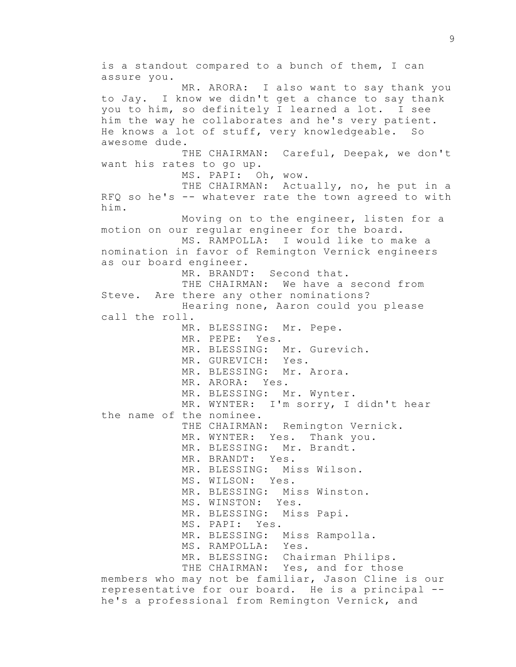is a standout compared to a bunch of them, I can assure you. MR. ARORA: I also want to say thank you to Jay. I know we didn't get a chance to say thank you to him, so definitely I learned a lot. I see him the way he collaborates and he's very patient. He knows a lot of stuff, very knowledgeable. So awesome dude. THE CHAIRMAN: Careful, Deepak, we don't want his rates to go up. MS. PAPI: Oh, wow. THE CHAIRMAN: Actually, no, he put in a RFQ so he's -- whatever rate the town agreed to with him. Moving on to the engineer, listen for a motion on our regular engineer for the board. MS. RAMPOLLA: I would like to make a nomination in favor of Remington Vernick engineers as our board engineer. MR. BRANDT: Second that. THE CHAIRMAN: We have a second from Steve. Are there any other nominations? Hearing none, Aaron could you please call the roll. MR. BLESSING: Mr. Pepe. MR. PEPE: Yes. MR. BLESSING: Mr. Gurevich. MR. GUREVICH: Yes. MR. BLESSING: Mr. Arora. MR. ARORA: Yes. MR. BLESSING: Mr. Wynter. MR. WYNTER: I'm sorry, I didn't hear the name of the nominee. THE CHAIRMAN: Remington Vernick. MR. WYNTER: Yes. Thank you. MR. BLESSING: Mr. Brandt. MR. BRANDT: Yes. MR. BLESSING: Miss Wilson. MS. WILSON: Yes. MR. BLESSING: Miss Winston. MS. WINSTON: Yes. MR. BLESSING: Miss Papi. MS. PAPI: Yes. MR. BLESSING: Miss Rampolla. MS. RAMPOLLA: Yes. MR. BLESSING: Chairman Philips. THE CHAIRMAN: Yes, and for those members who may not be familiar, Jason Cline is our representative for our board. He is a principal - he's a professional from Remington Vernick, and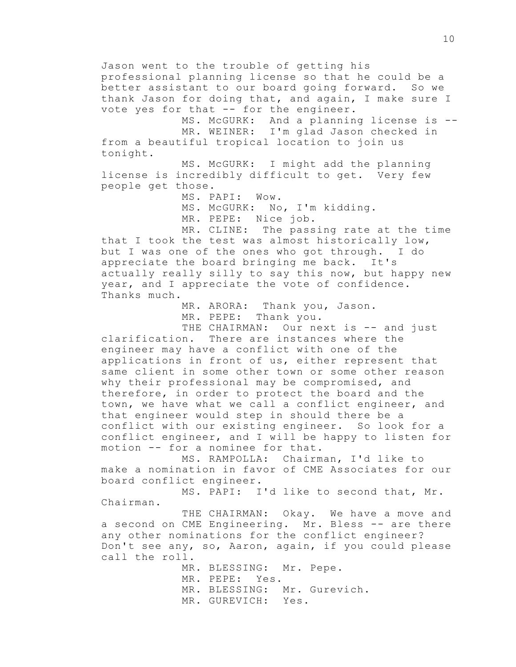Jason went to the trouble of getting his professional planning license so that he could be a better assistant to our board going forward. So we thank Jason for doing that, and again, I make sure I vote yes for that -- for the engineer.

MS. McGURK: And a planning license is -- MR. WEINER: I'm glad Jason checked in from a beautiful tropical location to join us tonight.

MS. McGURK: I might add the planning license is incredibly difficult to get. Very few people get those.

MS. PAPI: Wow.

MS. McGURK: No, I'm kidding.

MR. PEPE: Nice job.

MR. CLINE: The passing rate at the time that I took the test was almost historically low, but I was one of the ones who got through. I do appreciate the board bringing me back. It's actually really silly to say this now, but happy new year, and I appreciate the vote of confidence. Thanks much.

> MR. ARORA: Thank you, Jason. MR. PEPE: Thank you.

THE CHAIRMAN: Our next is -- and just clarification. There are instances where the engineer may have a conflict with one of the applications in front of us, either represent that same client in some other town or some other reason why their professional may be compromised, and therefore, in order to protect the board and the town, we have what we call a conflict engineer, and that engineer would step in should there be a conflict with our existing engineer. So look for a conflict engineer, and I will be happy to listen for motion -- for a nominee for that.

MS. RAMPOLLA: Chairman, I'd like to make a nomination in favor of CME Associates for our board conflict engineer.

MS. PAPI: I'd like to second that, Mr. Chairman.

THE CHAIRMAN: Okay. We have a move and a second on CME Engineering. Mr. Bless -- are there any other nominations for the conflict engineer? Don't see any, so, Aaron, again, if you could please call the roll.

> MR. BLESSING: Mr. Pepe. MR. PEPE: Yes. MR. BLESSING: Mr. Gurevich. MR. GUREVICH: Yes.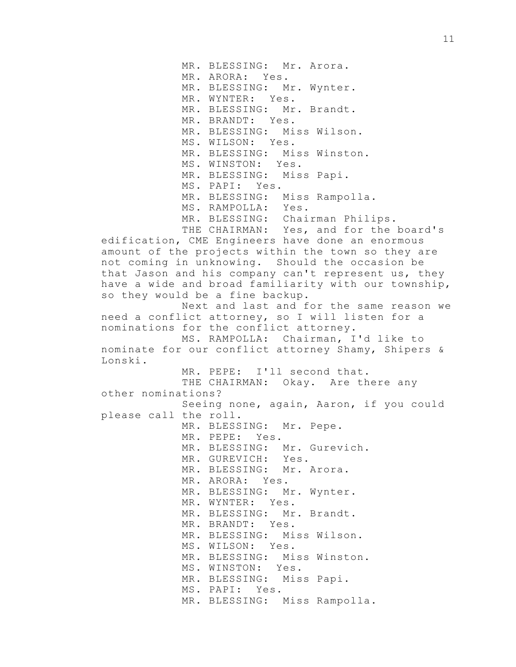MR. BLESSING: Mr. Arora. MR. ARORA: Yes. MR. BLESSING: Mr. Wynter. MR. WYNTER: Yes. MR. BLESSING: Mr. Brandt. MR. BRANDT: Yes. MR. BLESSING: Miss Wilson. MS. WILSON: Yes. MR. BLESSING: Miss Winston. MS. WINSTON: Yes. MR. BLESSING: Miss Papi. MS. PAPI: Yes. MR. BLESSING: Miss Rampolla. MS. RAMPOLLA: Yes. MR. BLESSING: Chairman Philips. THE CHAIRMAN: Yes, and for the board's edification, CME Engineers have done an enormous amount of the projects within the town so they are not coming in unknowing. Should the occasion be that Jason and his company can't represent us, they have a wide and broad familiarity with our township, so they would be a fine backup. Next and last and for the same reason we need a conflict attorney, so I will listen for a nominations for the conflict attorney. MS. RAMPOLLA: Chairman, I'd like to nominate for our conflict attorney Shamy, Shipers & Lonski. MR. PEPE: I'll second that. THE CHAIRMAN: Okay. Are there any other nominations? Seeing none, again, Aaron, if you could please call the roll. MR. BLESSING: Mr. Pepe. MR. PEPE: Yes. MR. BLESSING: Mr. Gurevich. MR. GUREVICH: Yes. MR. BLESSING: Mr. Arora. MR. ARORA: Yes. MR. BLESSING: Mr. Wynter. MR. WYNTER: Yes. MR. BLESSING: Mr. Brandt. MR. BRANDT: Yes. MR. BLESSING: Miss Wilson. MS. WILSON: Yes. MR. BLESSING: Miss Winston. MS. WINSTON: Yes. MR. BLESSING: Miss Papi. MS. PAPI: Yes. MR. BLESSING: Miss Rampolla.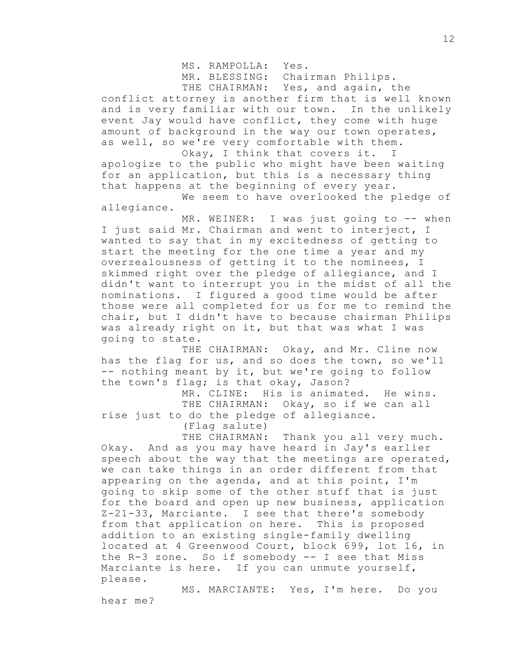MS. RAMPOLLA: Yes.

MR. BLESSING: Chairman Philips.

THE CHAIRMAN: Yes, and again, the

conflict attorney is another firm that is well known and is very familiar with our town. In the unlikely event Jay would have conflict, they come with huge amount of background in the way our town operates, as well, so we're very comfortable with them.

Okay, I think that covers it. I apologize to the public who might have been waiting for an application, but this is a necessary thing that happens at the beginning of every year.

We seem to have overlooked the pledge of allegiance.

MR. WEINER: I was just going to -- when I just said Mr. Chairman and went to interject, I wanted to say that in my excitedness of getting to start the meeting for the one time a year and my overzealousness of getting it to the nominees, I skimmed right over the pledge of allegiance, and I didn't want to interrupt you in the midst of all the nominations. I figured a good time would be after those were all completed for us for me to remind the chair, but I didn't have to because chairman Philips was already right on it, but that was what I was going to state.

THE CHAIRMAN: Okay, and Mr. Cline now has the flag for us, and so does the town, so we'll -- nothing meant by it, but we're going to follow the town's flag; is that okay, Jason?

MR. CLINE: His is animated. He wins. THE CHAIRMAN: Okay, so if we can all rise just to do the pledge of allegiance. (Flag salute)

THE CHAIRMAN: Thank you all very much. Okay. And as you may have heard in Jay's earlier speech about the way that the meetings are operated, we can take things in an order different from that appearing on the agenda, and at this point, I'm going to skip some of the other stuff that is just for the board and open up new business, application Z-21-33, Marciante. I see that there's somebody from that application on here. This is proposed addition to an existing single-family dwelling located at 4 Greenwood Court, block 699, lot 16, in the R-3 zone. So if somebody -- I see that Miss Marciante is here. If you can unmute yourself, please.

MS. MARCIANTE: Yes, I'm here. Do you hear me?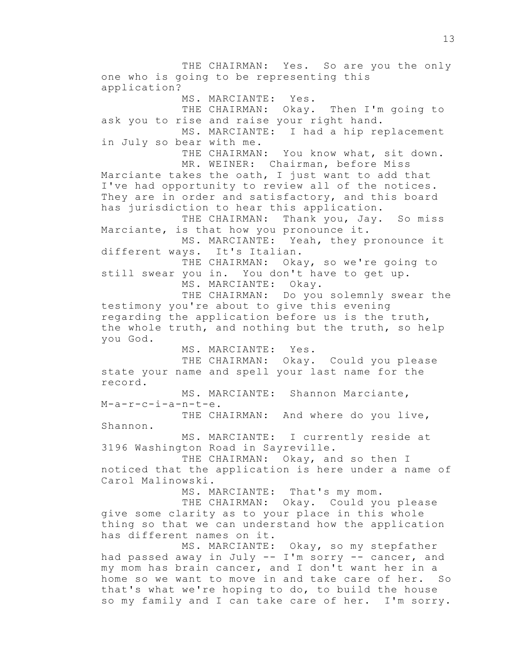THE CHAIRMAN: Yes. So are you the only one who is going to be representing this application? MS. MARCIANTE: Yes. THE CHAIRMAN: Okay. Then I'm going to ask you to rise and raise your right hand. MS. MARCIANTE: I had a hip replacement in July so bear with me. THE CHAIRMAN: You know what, sit down. MR. WEINER: Chairman, before Miss Marciante takes the oath, I just want to add that I've had opportunity to review all of the notices. They are in order and satisfactory, and this board has jurisdiction to hear this application. THE CHAIRMAN: Thank you, Jay. So miss Marciante, is that how you pronounce it. MS. MARCIANTE: Yeah, they pronounce it different ways. It's Italian. THE CHAIRMAN: Okay, so we're going to still swear you in. You don't have to get up. MS. MARCIANTE: Okay. THE CHAIRMAN: Do you solemnly swear the testimony you're about to give this evening regarding the application before us is the truth, the whole truth, and nothing but the truth, so help you God. MS. MARCIANTE: Yes. THE CHAIRMAN: Okay. Could you please state your name and spell your last name for the record. MS. MARCIANTE: Shannon Marciante, M-a-r-c-i-a-n-t-e. THE CHAIRMAN: And where do you live, Shannon. MS. MARCIANTE: I currently reside at 3196 Washington Road in Sayreville. THE CHAIRMAN: Okay, and so then I noticed that the application is here under a name of Carol Malinowski. MS. MARCIANTE: That's my mom. THE CHAIRMAN: Okay. Could you please give some clarity as to your place in this whole thing so that we can understand how the application has different names on it.<br>MS. MARCIANTE: Okay, so my stepfather had passed away in July -- I'm sorry -- cancer, and my mom has brain cancer, and I don't want her in a home so we want to move in and take care of her. So that's what we're hoping to do, to build the house so my family and I can take care of her. I'm sorry.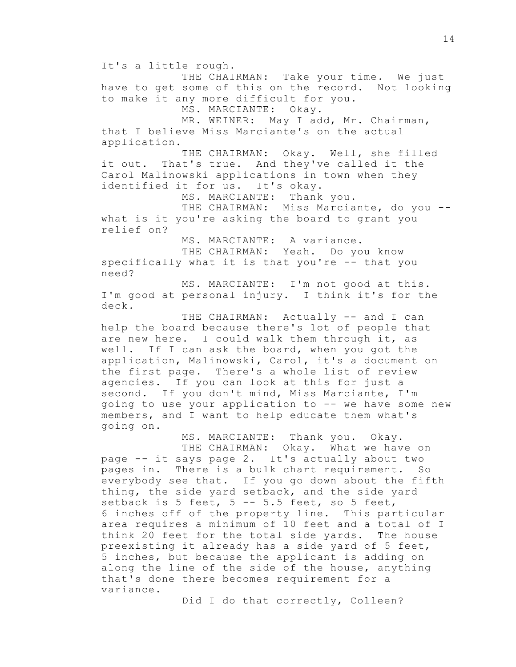It's a little rough. THE CHAIRMAN: Take your time. We just have to get some of this on the record. Not looking to make it any more difficult for you. MS. MARCIANTE: Okay. MR. WEINER: May I add, Mr. Chairman, that I believe Miss Marciante's on the actual application. THE CHAIRMAN: Okay. Well, she filled it out. That's true. And they've called it the Carol Malinowski applications in town when they identified it for us. It's okay. MS. MARCIANTE: Thank you. THE CHAIRMAN: Miss Marciante, do you -what is it you're asking the board to grant you relief on? MS. MARCIANTE: A variance. THE CHAIRMAN: Yeah. Do you know specifically what it is that you're -- that you need? MS. MARCIANTE: I'm not good at this. I'm good at personal injury. I think it's for the deck. THE CHAIRMAN: Actually -- and I can help the board because there's lot of people that are new here. I could walk them through it, as well. If I can ask the board, when you got the application, Malinowski, Carol, it's a document on the first page. There's a whole list of review

agencies. If you can look at this for just a second. If you don't mind, Miss Marciante, I'm going to use your application to -- we have some new members, and I want to help educate them what's going on.

MS. MARCIANTE: Thank you. Okay. THE CHAIRMAN: Okay. What we have on page -- it says page 2. It's actually about two pages in. There is a bulk chart requirement. So everybody see that. If you go down about the fifth thing, the side yard setback, and the side yard setback is 5 feet,  $5$  --  $5.5$  feet, so 5 feet, 6 inches off of the property line. This particular area requires a minimum of 10 feet and a total of I think 20 feet for the total side yards. The house preexisting it already has a side yard of 5 feet, 5 inches, but because the applicant is adding on along the line of the side of the house, anything that's done there becomes requirement for a variance.

Did I do that correctly, Colleen?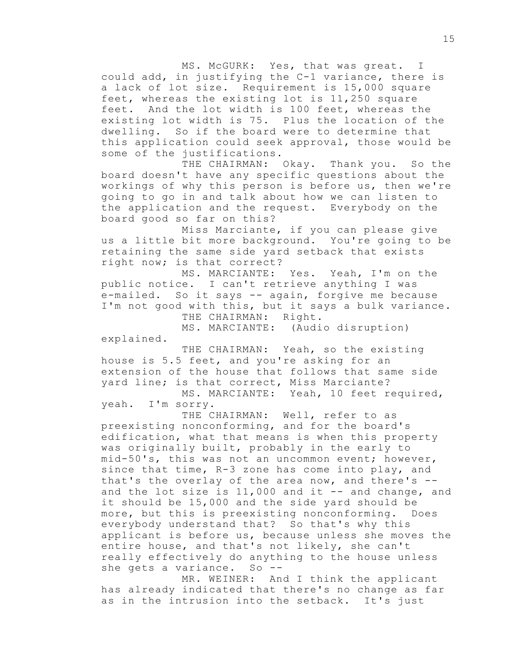MS. McGURK: Yes, that was great. I could add, in justifying the C-1 variance, there is a lack of lot size. Requirement is 15,000 square feet, whereas the existing lot is 11,250 square feet. And the lot width is 100 feet, whereas the existing lot width is 75. Plus the location of the dwelling. So if the board were to determine that this application could seek approval, those would be some of the justifications.

THE CHAIRMAN: Okay. Thank you. So the board doesn't have any specific questions about the workings of why this person is before us, then we're going to go in and talk about how we can listen to the application and the request. Everybody on the board good so far on this?

Miss Marciante, if you can please give us a little bit more background. You're going to be retaining the same side yard setback that exists right now; is that correct?

MS. MARCIANTE: Yes. Yeah, I'm on the public notice. I can't retrieve anything I was e-mailed. So it says -- again, forgive me because I'm not good with this, but it says a bulk variance. THE CHAIRMAN: Right.

MS. MARCIANTE: (Audio disruption)

explained.

THE CHAIRMAN: Yeah, so the existing house is 5.5 feet, and you're asking for an extension of the house that follows that same side yard line; is that correct, Miss Marciante?

MS. MARCIANTE: Yeah, 10 feet required, yeah. I'm sorry.

THE CHAIRMAN: Well, refer to as preexisting nonconforming, and for the board's edification, what that means is when this property was originally built, probably in the early to mid-50's, this was not an uncommon event; however, since that time, R-3 zone has come into play, and that's the overlay of the area now, and there's - and the lot size is  $11,000$  and it  $-$  and change, and it should be 15,000 and the side yard should be more, but this is preexisting nonconforming. Does everybody understand that? So that's why this applicant is before us, because unless she moves the entire house, and that's not likely, she can't really effectively do anything to the house unless she gets a variance. So --

MR. WEINER: And I think the applicant has already indicated that there's no change as far as in the intrusion into the setback. It's just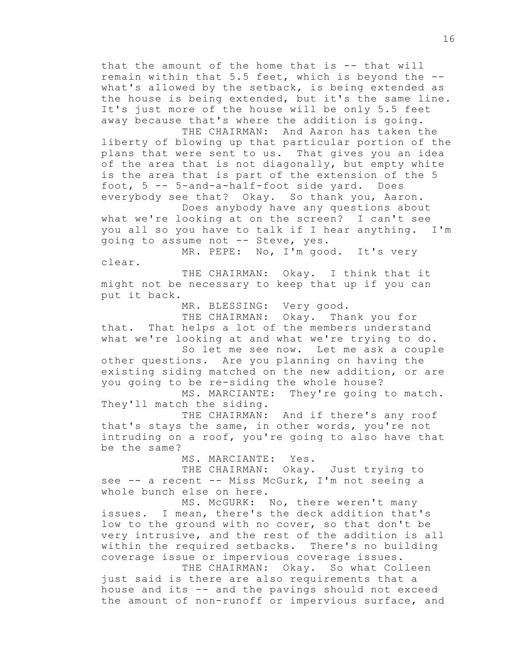that the amount of the home that is -- that will remain within that 5.5 feet, which is beyond the - what's allowed by the setback, is being extended as the house is being extended, but it's the same line. It's just more of the house will be only 5.5 feet away because that's where the addition is going.

THE CHAIRMAN: And Aaron has taken the liberty of blowing up that particular portion of the plans that were sent to us. That gives you an idea of the area that is not diagonally, but empty white is the area that is part of the extension of the 5 foot, 5 -- 5-and-a-half-foot side yard. Does everybody see that? Okay. So thank you, Aaron.

Does anybody have any questions about what we're looking at on the screen? I can't see you all so you have to talk if I hear anything. I'm going to assume not -- Steve, yes.

MR. PEPE: No, I'm good. It's very clear.

THE CHAIRMAN: Okay. I think that it might not be necessary to keep that up if you can put it back.

MR. BLESSING: Very good.

THE CHAIRMAN: Okay. Thank you for that. That helps a lot of the members understand what we're looking at and what we're trying to do. So let me see now. Let me ask a couple

other questions. Are you planning on having the existing siding matched on the new addition, or are you going to be re-siding the whole house?

MS. MARCIANTE: They're going to match. They'll match the siding.

THE CHAIRMAN: And if there's any roof that's stays the same, in other words, you're not intruding on a roof, you're going to also have that be the same?

MS. MARCIANTE: Yes.

THE CHAIRMAN: Okay. Just trying to see -- a recent -- Miss McGurk, I'm not seeing a whole bunch else on here.

MS. McGURK: No, there weren't many issues. I mean, there's the deck addition that's low to the ground with no cover, so that don't be very intrusive, and the rest of the addition is all within the required setbacks. There's no building coverage issue or impervious coverage issues.

THE CHAIRMAN: Okay. So what Colleen just said is there are also requirements that a house and its -- and the pavings should not exceed the amount of non-runoff or impervious surface, and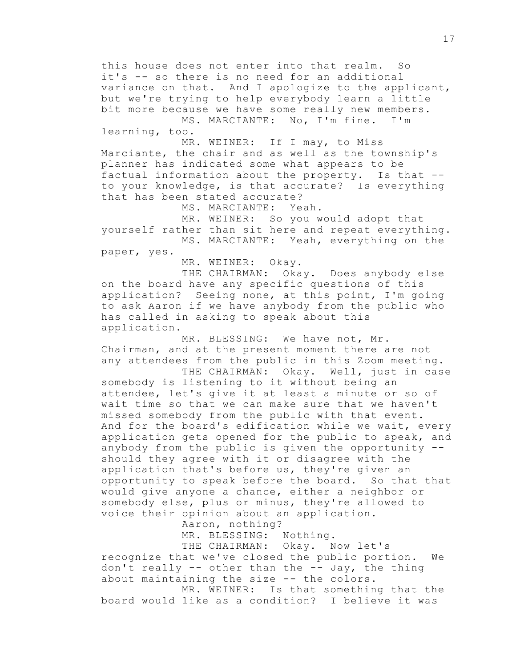this house does not enter into that realm. So it's -- so there is no need for an additional variance on that. And I apologize to the applicant, but we're trying to help everybody learn a little bit more because we have some really new members. MS. MARCIANTE: No, I'm fine. I'm

learning, too.

MR. WEINER: If I may, to Miss Marciante, the chair and as well as the township's planner has indicated some what appears to be factual information about the property. Is that - to your knowledge, is that accurate? Is everything that has been stated accurate?

MS. MARCIANTE: Yeah.

MR. WEINER: So you would adopt that yourself rather than sit here and repeat everything. MS. MARCIANTE: Yeah, everything on the

paper, yes.

MR. WEINER: Okay.

THE CHAIRMAN: Okay. Does anybody else on the board have any specific questions of this application? Seeing none, at this point, I'm going to ask Aaron if we have anybody from the public who has called in asking to speak about this application.

MR. BLESSING: We have not, Mr. Chairman, and at the present moment there are not any attendees from the public in this Zoom meeting.

THE CHAIRMAN: Okay. Well, just in case somebody is listening to it without being an attendee, let's give it at least a minute or so of wait time so that we can make sure that we haven't missed somebody from the public with that event. And for the board's edification while we wait, every application gets opened for the public to speak, and anybody from the public is given the opportunity - should they agree with it or disagree with the application that's before us, they're given an opportunity to speak before the board. So that that would give anyone a chance, either a neighbor or somebody else, plus or minus, they're allowed to voice their opinion about an application.

Aaron, nothing?

MR. BLESSING: Nothing.

THE CHAIRMAN: Okay. Now let's recognize that we've closed the public portion. We don't really -- other than the -- Jay, the thing about maintaining the size -- the colors.

MR. WEINER: Is that something that the board would like as a condition? I believe it was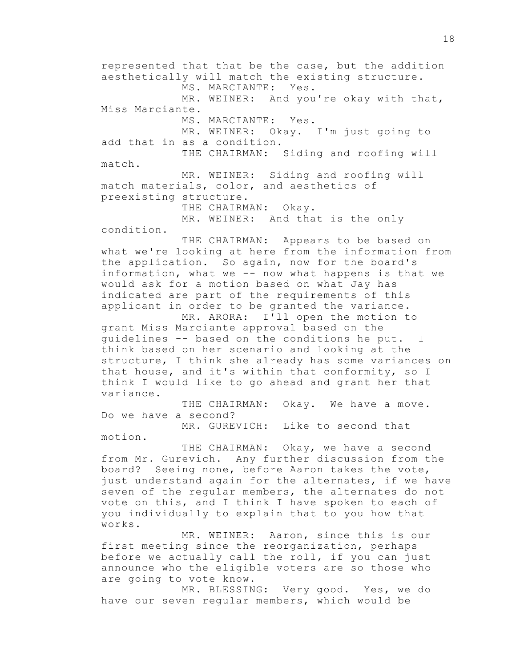represented that that be the case, but the addition aesthetically will match the existing structure. MS. MARCIANTE: Yes. MR. WEINER: And you're okay with that, Miss Marciante. MS. MARCIANTE: Yes. MR. WEINER: Okay. I'm just going to add that in as a condition. THE CHAIRMAN: Siding and roofing will match. MR. WEINER: Siding and roofing will match materials, color, and aesthetics of preexisting structure. THE CHAIRMAN: Okay. MR. WEINER: And that is the only condition. THE CHAIRMAN: Appears to be based on

what we're looking at here from the information from the application. So again, now for the board's information, what we -- now what happens is that we would ask for a motion based on what Jay has indicated are part of the requirements of this applicant in order to be granted the variance. MR. ARORA: I'll open the motion to

grant Miss Marciante approval based on the guidelines -- based on the conditions he put. I think based on her scenario and looking at the structure, I think she already has some variances on that house, and it's within that conformity, so I think I would like to go ahead and grant her that variance.

THE CHAIRMAN: Okay. We have a move. Do we have a second?

MR. GUREVICH: Like to second that motion.

THE CHAIRMAN: Okay, we have a second from Mr. Gurevich. Any further discussion from the board? Seeing none, before Aaron takes the vote, just understand again for the alternates, if we have seven of the regular members, the alternates do not vote on this, and I think I have spoken to each of you individually to explain that to you how that works.

MR. WEINER: Aaron, since this is our first meeting since the reorganization, perhaps before we actually call the roll, if you can just announce who the eligible voters are so those who are going to vote know.

MR. BLESSING: Very good. Yes, we do have our seven regular members, which would be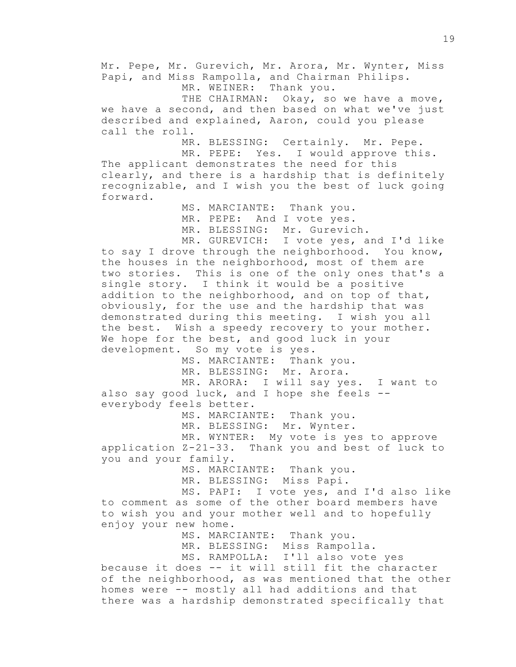Mr. Pepe, Mr. Gurevich, Mr. Arora, Mr. Wynter, Miss Papi, and Miss Rampolla, and Chairman Philips. MR. WEINER: Thank you. THE CHAIRMAN: Okay, so we have a move, we have a second, and then based on what we've just described and explained, Aaron, could you please call the roll. MR. BLESSING: Certainly. Mr. Pepe. MR. PEPE: Yes. I would approve this. The applicant demonstrates the need for this clearly, and there is a hardship that is definitely recognizable, and I wish you the best of luck going forward. MS. MARCIANTE: Thank you. MR. PEPE: And I vote yes. MR. BLESSING: Mr. Gurevich. MR. GUREVICH: I vote yes, and I'd like to say I drove through the neighborhood. You know, the houses in the neighborhood, most of them are two stories. This is one of the only ones that's a single story. I think it would be a positive addition to the neighborhood, and on top of that, obviously, for the use and the hardship that was demonstrated during this meeting. I wish you all the best. Wish a speedy recovery to your mother. We hope for the best, and good luck in your development. So my vote is yes. MS. MARCIANTE: Thank you. MR. BLESSING: Mr. Arora. MR. ARORA: I will say yes. I want to also say good luck, and I hope she feels - everybody feels better. MS. MARCIANTE: Thank you. MR. BLESSING: Mr. Wynter. MR. WYNTER: My vote is yes to approve application Z-21-33. Thank you and best of luck to you and your family. MS. MARCIANTE: Thank you. MR. BLESSING: Miss Papi. MS. PAPI: I vote yes, and I'd also like to comment as some of the other board members have to wish you and your mother well and to hopefully enjoy your new home. MS. MARCIANTE: Thank you. MR. BLESSING: Miss Rampolla. MS. RAMPOLLA: I'll also vote yes because it does -- it will still fit the character of the neighborhood, as was mentioned that the other homes were -- mostly all had additions and that there was a hardship demonstrated specifically that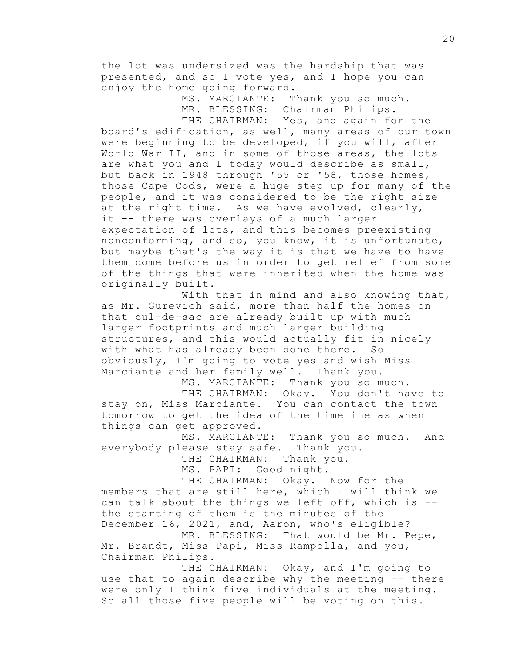the lot was undersized was the hardship that was presented, and so I vote yes, and I hope you can enjoy the home going forward.

> MS. MARCIANTE: Thank you so much. MR. BLESSING: Chairman Philips. THE CHAIRMAN: Yes, and again for the

board's edification, as well, many areas of our town were beginning to be developed, if you will, after World War II, and in some of those areas, the lots are what you and I today would describe as small, but back in 1948 through '55 or '58, those homes, those Cape Cods, were a huge step up for many of the people, and it was considered to be the right size at the right time. As we have evolved, clearly, it -- there was overlays of a much larger expectation of lots, and this becomes preexisting nonconforming, and so, you know, it is unfortunate, but maybe that's the way it is that we have to have them come before us in order to get relief from some of the things that were inherited when the home was originally built.

With that in mind and also knowing that, as Mr. Gurevich said, more than half the homes on that cul-de-sac are already built up with much larger footprints and much larger building structures, and this would actually fit in nicely with what has already been done there. So obviously, I'm going to vote yes and wish Miss Marciante and her family well. Thank you.

MS. MARCIANTE: Thank you so much. THE CHAIRMAN: Okay. You don't have to stay on, Miss Marciante. You can contact the town tomorrow to get the idea of the timeline as when things can get approved.

MS. MARCIANTE: Thank you so much. And everybody please stay safe. Thank you.

THE CHAIRMAN: Thank you.

MS. PAPI: Good night.

THE CHAIRMAN: Okay. Now for the members that are still here, which I will think we can talk about the things we left off, which is - the starting of them is the minutes of the December 16, 2021, and, Aaron, who's eligible? MR. BLESSING: That would be Mr. Pepe,

Mr. Brandt, Miss Papi, Miss Rampolla, and you, Chairman Philips.

THE CHAIRMAN: Okay, and I'm going to use that to again describe why the meeting -- there were only I think five individuals at the meeting. So all those five people will be voting on this.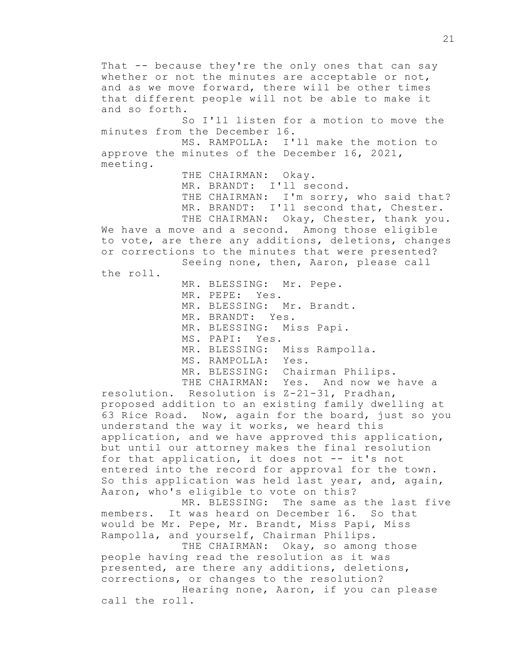That -- because they're the only ones that can say whether or not the minutes are acceptable or not, and as we move forward, there will be other times that different people will not be able to make it and so forth. So I'll listen for a motion to move the minutes from the December 16. MS. RAMPOLLA: I'll make the motion to approve the minutes of the December 16, 2021, meeting. THE CHAIRMAN: Okay. MR. BRANDT: I'll second. THE CHAIRMAN: I'm sorry, who said that? MR. BRANDT: I'll second that, Chester. THE CHAIRMAN: Okay, Chester, thank you. We have a move and a second. Among those eligible to vote, are there any additions, deletions, changes or corrections to the minutes that were presented? Seeing none, then, Aaron, please call the roll. MR. BLESSING: Mr. Pepe. MR. PEPE: Yes. MR. BLESSING: Mr. Brandt. MR. BRANDT: Yes. MR. BLESSING: Miss Papi. MS. PAPI: Yes. MR. BLESSING: Miss Rampolla. MS. RAMPOLLA: Yes. MR. BLESSING: Chairman Philips. THE CHAIRMAN: Yes. And now we have a resolution. Resolution is Z-21-31, Pradhan, proposed addition to an existing family dwelling at 63 Rice Road. Now, again for the board, just so you understand the way it works, we heard this application, and we have approved this application, but until our attorney makes the final resolution for that application, it does not -- it's not entered into the record for approval for the town. So this application was held last year, and, again, Aaron, who's eligible to vote on this? MR. BLESSING: The same as the last five members. It was heard on December 16. So that would be Mr. Pepe, Mr. Brandt, Miss Papi, Miss Rampolla, and yourself, Chairman Philips. THE CHAIRMAN: Okay, so among those people having read the resolution as it was presented, are there any additions, deletions, corrections, or changes to the resolution? Hearing none, Aaron, if you can please call the roll.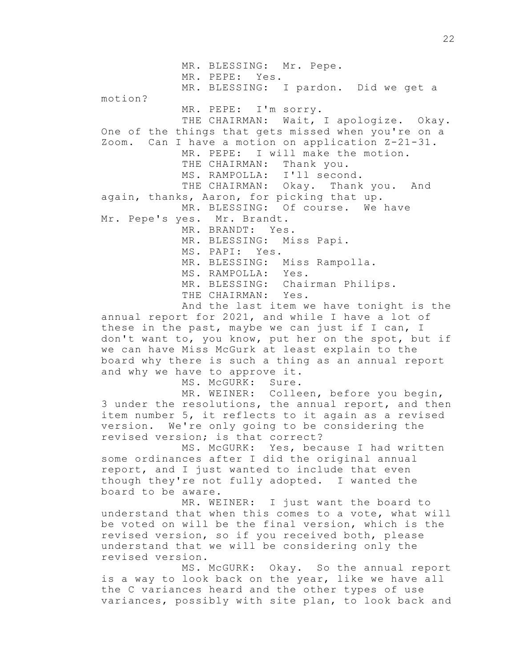MR. BLESSING: Mr. Pepe. MR. PEPE: Yes. MR. BLESSING: I pardon. Did we get a motion? MR. PEPE: I'm sorry. THE CHAIRMAN: Wait, I apologize. Okay. One of the things that gets missed when you're on a Zoom. Can I have a motion on application Z-21-31. MR. PEPE: I will make the motion. THE CHAIRMAN: Thank you. MS. RAMPOLLA: I'll second. THE CHAIRMAN: Okay. Thank you. And again, thanks, Aaron, for picking that up. MR. BLESSING: Of course. We have Mr. Pepe's yes. Mr. Brandt. MR. BRANDT: Yes. MR. BLESSING: Miss Papi. MS. PAPI: Yes. MR. BLESSING: Miss Rampolla. MS. RAMPOLLA: Yes. MR. BLESSING: Chairman Philips. THE CHAIRMAN: Yes.

And the last item we have tonight is the annual report for 2021, and while I have a lot of these in the past, maybe we can just if I can, I don't want to, you know, put her on the spot, but if we can have Miss McGurk at least explain to the board why there is such a thing as an annual report and why we have to approve it.

MS. McGURK: Sure.

MR. WEINER: Colleen, before you begin, 3 under the resolutions, the annual report, and then item number 5, it reflects to it again as a revised version. We're only going to be considering the revised version; is that correct?

MS. McGURK: Yes, because I had written some ordinances after I did the original annual report, and I just wanted to include that even though they're not fully adopted. I wanted the board to be aware.

MR. WEINER: I just want the board to understand that when this comes to a vote, what will be voted on will be the final version, which is the revised version, so if you received both, please understand that we will be considering only the revised version.

MS. McGURK: Okay. So the annual report is a way to look back on the year, like we have all the C variances heard and the other types of use variances, possibly with site plan, to look back and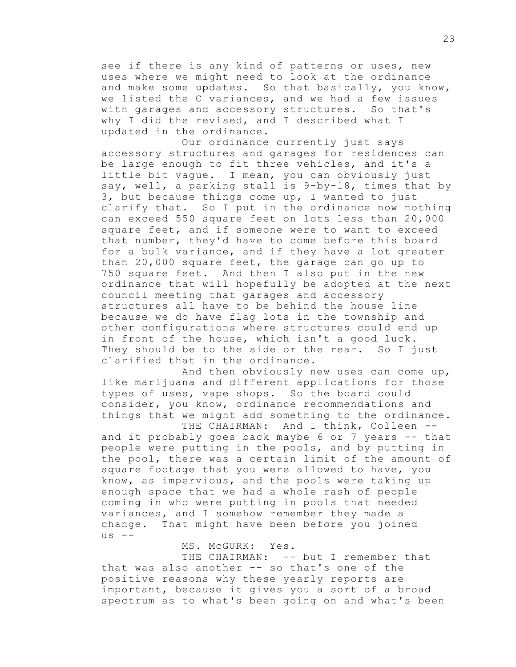see if there is any kind of patterns or uses, new uses where we might need to look at the ordinance and make some updates. So that basically, you know, we listed the C variances, and we had a few issues with garages and accessory structures. So that's why I did the revised, and I described what I updated in the ordinance.

Our ordinance currently just says accessory structures and garages for residences can be large enough to fit three vehicles, and it's a little bit vague. I mean, you can obviously just say, well, a parking stall is 9-by-18, times that by 3, but because things come up, I wanted to just clarify that. So I put in the ordinance now nothing can exceed 550 square feet on lots less than 20,000 square feet, and if someone were to want to exceed that number, they'd have to come before this board for a bulk variance, and if they have a lot greater than 20,000 square feet, the garage can go up to 750 square feet. And then I also put in the new ordinance that will hopefully be adopted at the next council meeting that garages and accessory structures all have to be behind the house line because we do have flag lots in the township and other configurations where structures could end up in front of the house, which isn't a good luck. They should be to the side or the rear. So I just clarified that in the ordinance.

And then obviously new uses can come up, like marijuana and different applications for those types of uses, vape shops. So the board could consider, you know, ordinance recommendations and things that we might add something to the ordinance. THE CHAIRMAN: And I think, Colleen --

and it probably goes back maybe 6 or 7 years -- that people were putting in the pools, and by putting in the pool, there was a certain limit of the amount of square footage that you were allowed to have, you know, as impervious, and the pools were taking up enough space that we had a whole rash of people coming in who were putting in pools that needed variances, and I somehow remember they made a change. That might have been before you joined  $us$  --

MS. McGURK: Yes.

THE CHAIRMAN: -- but I remember that that was also another -- so that's one of the positive reasons why these yearly reports are important, because it gives you a sort of a broad spectrum as to what's been going on and what's been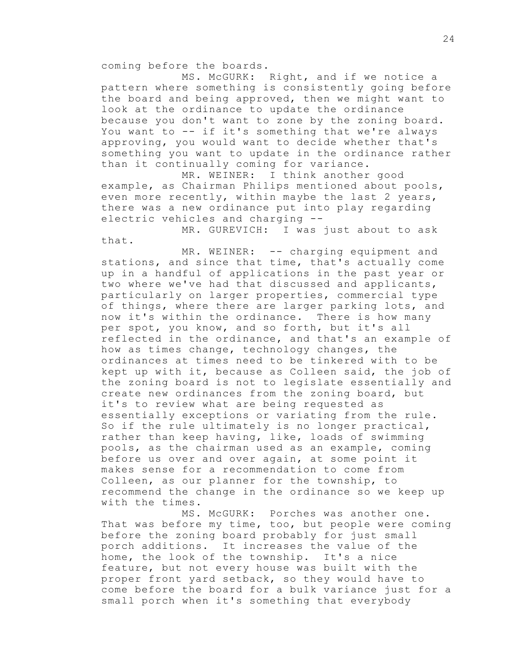coming before the boards.

MS. McGURK: Right, and if we notice a pattern where something is consistently going before the board and being approved, then we might want to look at the ordinance to update the ordinance because you don't want to zone by the zoning board. You want to -- if it's something that we're always approving, you would want to decide whether that's something you want to update in the ordinance rather than it continually coming for variance.

MR. WEINER: I think another good example, as Chairman Philips mentioned about pools, even more recently, within maybe the last 2 years, there was a new ordinance put into play regarding electric vehicles and charging --

MR. GUREVICH: I was just about to ask that.

MR. WEINER: -- charging equipment and stations, and since that time, that's actually come up in a handful of applications in the past year or two where we've had that discussed and applicants, particularly on larger properties, commercial type of things, where there are larger parking lots, and now it's within the ordinance. There is how many per spot, you know, and so forth, but it's all reflected in the ordinance, and that's an example of how as times change, technology changes, the ordinances at times need to be tinkered with to be kept up with it, because as Colleen said, the job of the zoning board is not to legislate essentially and create new ordinances from the zoning board, but it's to review what are being requested as essentially exceptions or variating from the rule. So if the rule ultimately is no longer practical, rather than keep having, like, loads of swimming pools, as the chairman used as an example, coming before us over and over again, at some point it makes sense for a recommendation to come from Colleen, as our planner for the township, to recommend the change in the ordinance so we keep up with the times.

MS. McGURK: Porches was another one. That was before my time, too, but people were coming before the zoning board probably for just small porch additions. It increases the value of the home, the look of the township. It's a nice feature, but not every house was built with the proper front yard setback, so they would have to come before the board for a bulk variance just for a small porch when it's something that everybody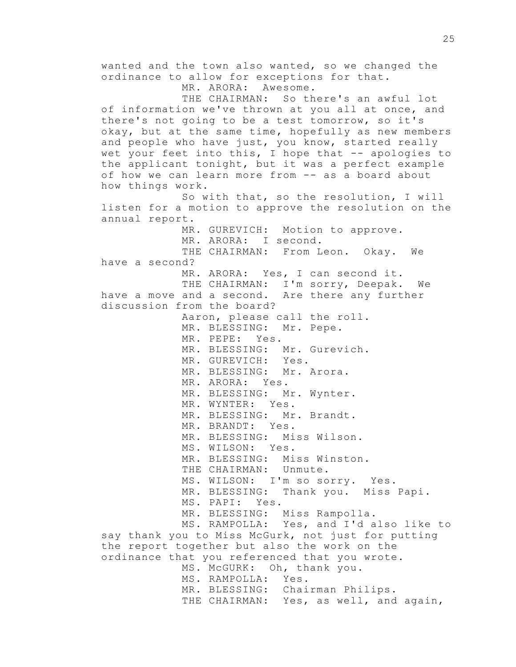wanted and the town also wanted, so we changed the ordinance to allow for exceptions for that. MR. ARORA: Awesome. THE CHAIRMAN: So there's an awful lot of information we've thrown at you all at once, and there's not going to be a test tomorrow, so it's okay, but at the same time, hopefully as new members and people who have just, you know, started really wet your feet into this, I hope that -- apologies to the applicant tonight, but it was a perfect example of how we can learn more from -- as a board about how things work. So with that, so the resolution, I will listen for a motion to approve the resolution on the annual report. MR. GUREVICH: Motion to approve. MR. ARORA: I second. THE CHAIRMAN: From Leon. Okay. We have a second? MR. ARORA: Yes, I can second it. THE CHAIRMAN: I'm sorry, Deepak. We have a move and a second. Are there any further discussion from the board? Aaron, please call the roll. MR. BLESSING: Mr. Pepe. MR. PEPE: Yes. MR. BLESSING: Mr. Gurevich. MR. GUREVICH: Yes. MR. BLESSING: Mr. Arora. MR. ARORA: Yes. MR. BLESSING: Mr. Wynter. MR. WYNTER: Yes. MR. BLESSING: Mr. Brandt. MR. BRANDT: Yes. MR. BLESSING: Miss Wilson. MS. WILSON: Yes. MR. BLESSING: Miss Winston. THE CHAIRMAN: Unmute. MS. WILSON: I'm so sorry. Yes. MR. BLESSING: Thank you. Miss Papi. MS. PAPI: Yes. MR. BLESSING: Miss Rampolla. MS. RAMPOLLA: Yes, and I'd also like to say thank you to Miss McGurk, not just for putting the report together but also the work on the ordinance that you referenced that you wrote. MS. McGURK: Oh, thank you. MS. RAMPOLLA: Yes. MR. BLESSING: Chairman Philips. THE CHAIRMAN: Yes, as well, and again,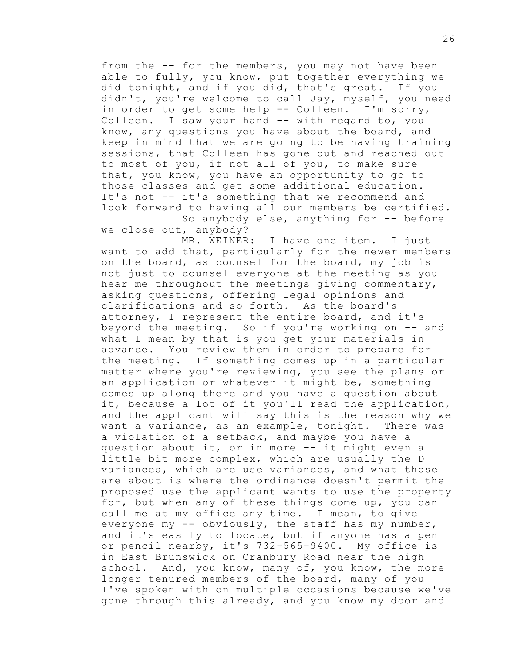from the -- for the members, you may not have been able to fully, you know, put together everything we did tonight, and if you did, that's great. If you didn't, you're welcome to call Jay, myself, you need in order to get some help -- Colleen. I'm sorry, Colleen. I saw your hand -- with regard to, you know, any questions you have about the board, and keep in mind that we are going to be having training sessions, that Colleen has gone out and reached out to most of you, if not all of you, to make sure that, you know, you have an opportunity to go to those classes and get some additional education. It's not -- it's something that we recommend and look forward to having all our members be certified. So anybody else, anything for -- before

we close out, anybody?

MR. WEINER: I have one item. I just want to add that, particularly for the newer members on the board, as counsel for the board, my job is not just to counsel everyone at the meeting as you hear me throughout the meetings giving commentary, asking questions, offering legal opinions and clarifications and so forth. As the board's attorney, I represent the entire board, and it's beyond the meeting. So if you're working on -- and what I mean by that is you get your materials in advance. You review them in order to prepare for the meeting. If something comes up in a particular matter where you're reviewing, you see the plans or an application or whatever it might be, something comes up along there and you have a question about it, because a lot of it you'll read the application, and the applicant will say this is the reason why we want a variance, as an example, tonight. There was a violation of a setback, and maybe you have a question about it, or in more -- it might even a little bit more complex, which are usually the D variances, which are use variances, and what those are about is where the ordinance doesn't permit the proposed use the applicant wants to use the property for, but when any of these things come up, you can call me at my office any time. I mean, to give everyone my  $--$  obviously, the staff has my number, and it's easily to locate, but if anyone has a pen or pencil nearby, it's 732-565-9400. My office is in East Brunswick on Cranbury Road near the high school. And, you know, many of, you know, the more longer tenured members of the board, many of you I've spoken with on multiple occasions because we've gone through this already, and you know my door and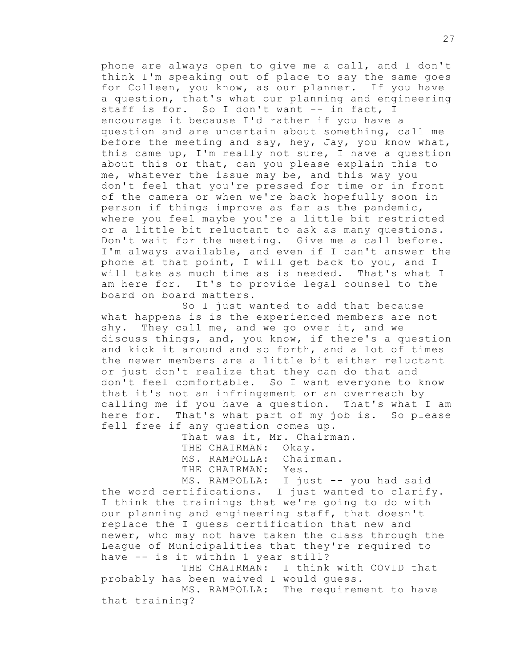phone are always open to give me a call, and I don't think I'm speaking out of place to say the same goes for Colleen, you know, as our planner. If you have a question, that's what our planning and engineering staff is for. So I don't want -- in fact, I encourage it because I'd rather if you have a question and are uncertain about something, call me before the meeting and say, hey, Jay, you know what, this came up, I'm really not sure, I have a question about this or that, can you please explain this to me, whatever the issue may be, and this way you don't feel that you're pressed for time or in front of the camera or when we're back hopefully soon in person if things improve as far as the pandemic, where you feel maybe you're a little bit restricted or a little bit reluctant to ask as many questions. Don't wait for the meeting. Give me a call before. I'm always available, and even if I can't answer the phone at that point, I will get back to you, and I will take as much time as is needed. That's what I am here for. It's to provide legal counsel to the board on board matters.

So I just wanted to add that because what happens is is the experienced members are not shy. They call me, and we go over it, and we discuss things, and, you know, if there's a question and kick it around and so forth, and a lot of times the newer members are a little bit either reluctant or just don't realize that they can do that and don't feel comfortable. So I want everyone to know that it's not an infringement or an overreach by calling me if you have a question. That's what I am here for. That's what part of my job is. So please fell free if any question comes up.

> That was it, Mr. Chairman. THE CHAIRMAN: Okay. MS. RAMPOLLA: Chairman. THE CHAIRMAN: Yes.

MS. RAMPOLLA: I just -- you had said the word certifications. I just wanted to clarify. I think the trainings that we're going to do with our planning and engineering staff, that doesn't replace the I guess certification that new and newer, who may not have taken the class through the League of Municipalities that they're required to have -- is it within 1 year still?

THE CHAIRMAN: I think with COVID that probably has been waived I would guess.

MS. RAMPOLLA: The requirement to have that training?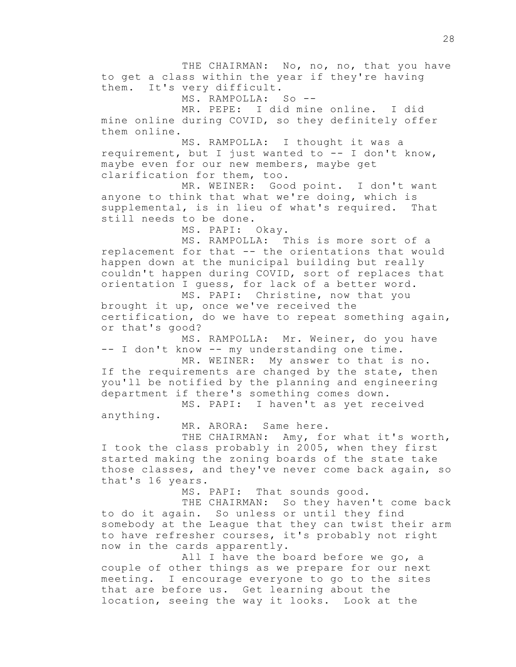THE CHAIRMAN: No, no, no, that you have to get a class within the year if they're having them. It's very difficult.

MS. RAMPOLLA: So --

MR. PEPE: I did mine online. I did mine online during COVID, so they definitely offer them online.

MS. RAMPOLLA: I thought it was a requirement, but I just wanted to  $--$  I don't know, maybe even for our new members, maybe get clarification for them, too.

MR. WEINER: Good point. I don't want anyone to think that what we're doing, which is supplemental, is in lieu of what's required. That still needs to be done.

MS. PAPI: Okay.

MS. RAMPOLLA: This is more sort of a replacement for that -- the orientations that would happen down at the municipal building but really couldn't happen during COVID, sort of replaces that orientation I guess, for lack of a better word.

MS. PAPI: Christine, now that you brought it up, once we've received the certification, do we have to repeat something again, or that's good?

MS. RAMPOLLA: Mr. Weiner, do you have -- I don't know -- my understanding one time.

MR. WEINER: My answer to that is no. If the requirements are changed by the state, then you'll be notified by the planning and engineering department if there's something comes down.

MS. PAPI: I haven't as yet received anything.

MR. ARORA: Same here.

THE CHAIRMAN: Amy, for what it's worth, I took the class probably in 2005, when they first started making the zoning boards of the state take those classes, and they've never come back again, so that's 16 years.

MS. PAPI: That sounds good.

THE CHAIRMAN: So they haven't come back to do it again. So unless or until they find somebody at the League that they can twist their arm to have refresher courses, it's probably not right now in the cards apparently.

All I have the board before we go, a couple of other things as we prepare for our next meeting. I encourage everyone to go to the sites that are before us. Get learning about the location, seeing the way it looks. Look at the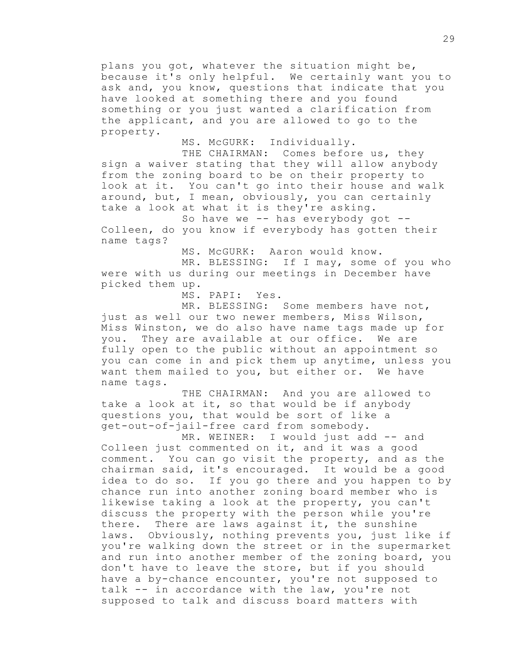plans you got, whatever the situation might be, because it's only helpful. We certainly want you to ask and, you know, questions that indicate that you have looked at something there and you found something or you just wanted a clarification from the applicant, and you are allowed to go to the property.

MS. McGURK: Individually.

THE CHAIRMAN: Comes before us, they sign a waiver stating that they will allow anybody from the zoning board to be on their property to look at it. You can't go into their house and walk around, but, I mean, obviously, you can certainly take a look at what it is they're asking.

So have we  $-$  has everybody got  $-$ Colleen, do you know if everybody has gotten their name tags?

MS. McGURK: Aaron would know.

MR. BLESSING: If I may, some of you who were with us during our meetings in December have picked them up.

MS. PAPI: Yes.

MR. BLESSING: Some members have not, just as well our two newer members, Miss Wilson, Miss Winston, we do also have name tags made up for you. They are available at our office. We are fully open to the public without an appointment so you can come in and pick them up anytime, unless you want them mailed to you, but either or. We have name tags.

THE CHAIRMAN: And you are allowed to take a look at it, so that would be if anybody questions you, that would be sort of like a get-out-of-jail-free card from somebody.

MR. WEINER: I would just add -- and Colleen just commented on it, and it was a good comment. You can go visit the property, and as the chairman said, it's encouraged. It would be a good idea to do so. If you go there and you happen to by chance run into another zoning board member who is likewise taking a look at the property, you can't discuss the property with the person while you're there. There are laws against it, the sunshine laws. Obviously, nothing prevents you, just like if you're walking down the street or in the supermarket and run into another member of the zoning board, you don't have to leave the store, but if you should have a by-chance encounter, you're not supposed to talk -- in accordance with the law, you're not supposed to talk and discuss board matters with